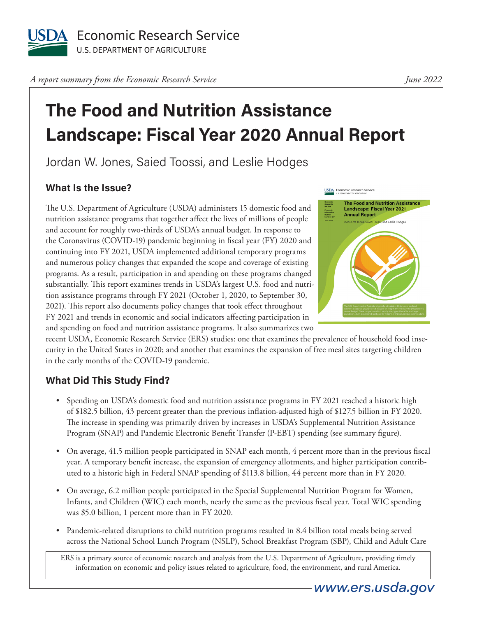

*A report summary from the Economic Research Service* 

# **The Food and Nutrition Assistance Landscape: Fiscal Year 2020 Annual Report**

Jordan W. Jones, Saied Toossi, and Leslie Hodges

## **What Is the Issue?**

The U.S. Department of Agriculture (USDA) administers 15 domestic food and nutrition assistance programs that together affect the lives of millions of people and account for roughly two-thirds of USDA's annual budget. In response to the Coronavirus (COVID-19) pandemic beginning in fiscal year (FY) 2020 and continuing into FY 2021, USDA implemented additional temporary programs and numerous policy changes that expanded the scope and coverage of existing programs. As a result, participation in and spending on these programs changed substantially. This report examines trends in USDA's largest U.S. food and nutrition assistance programs through FY 2021 (October 1, 2020, to September 30, 2021). This report also documents policy changes that took effect throughout FY 2021 and trends in economic and social indicators affecting participation in and spending on food and nutrition assistance programs. It also summarizes two



recent USDA, Economic Research Service (ERS) studies: one that examines the prevalence of household food insecurity in the United States in 2020; and another that examines the expansion of free meal sites targeting children in the early months of the COVID-19 pandemic.

### **What Did This Study Find?**

- Spending on USDA's domestic food and nutrition assistance programs in FY 2021 reached a historic high of \$182.5 billion, 43 percent greater than the previous inflation-adjusted high of \$127.5 billion in FY 2020. The increase in spending was primarily driven by increases in USDA's Supplemental Nutrition Assistance Program (SNAP) and Pandemic Electronic Benefit Transfer (P-EBT) spending (see summary figure).
- On average, 41.5 million people participated in SNAP each month, 4 percent more than in the previous fiscal year. A temporary benefit increase, the expansion of emergency allotments, and higher participation contributed to a historic high in Federal SNAP spending of \$113.8 billion, 44 percent more than in FY 2020.
- On average, 6.2 million people participated in the Special Supplemental Nutrition Program for Women, Infants, and Children (WIC) each month, nearly the same as the previous fiscal year. Total WIC spending was \$5.0 billion, 1 percent more than in FY 2020.
- Pandemic-related disruptions to child nutrition programs resulted in 8.4 billion total meals being served across the National School Lunch Program (NSLP), School Breakfast Program (SBP), Child and Adult Care

ERS is a primary source of economic research and analysis from the U.S. Department of Agriculture, providing timely information on economic and policy issues related to agriculture, food, the environment, and rural America.